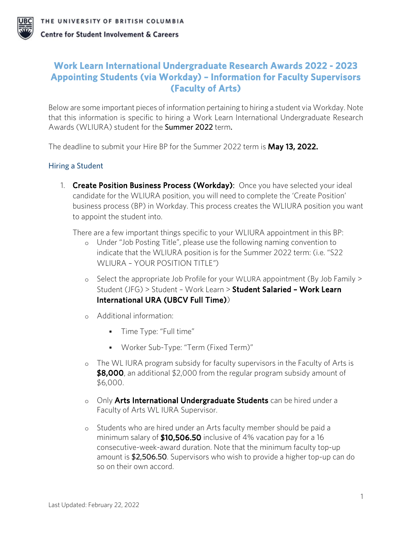

# **Work Learn International Undergraduate Research Awards 2022 - 2023 Appointing Students (via Workday) – Information for Faculty Supervisors (Faculty of Arts)**

Below are some important pieces of information pertaining to hiring a student via Workday. Note that this information is specific to hiring a Work Learn International Undergraduate Research Awards (WLIURA) student for the Summer 2022 term.

The deadline to submit your Hire BP for the Summer 2022 term is May 13, 2022.

## Hiring a Student

1. Create Position Business Process (Workday): Once you have selected your ideal candidate for the WLIURA position, you will need to complete the 'Create Position' business process (BP) in Workday. This process creates the WLIURA position you want to appoint the student into.

There are a few important things specific to your WLIURA appointment in this BP:

- o Under "Job Posting Title", please use the following naming convention to indicate that the WLIURA position is for the Summer 2022 term: (i.e. "S22 WLIURA – YOUR POSITION TITLE*"*)
- o Select the appropriate Job Profile for your WLURA appointment (By Job Family > Student (JFG) > Student - Work Learn > Student Salaried - Work Learn International URA (UBCV Full Time))
- o Additional information:
	- **Time Type: "Full time"**
	- Worker Sub-Type: "Term (Fixed Term)"
- o The WL IURA program subsidy for faculty supervisors in the Faculty of Arts is \$8,000, an additional \$2,000 from the regular program subsidy amount of \$6,000.
- o Only Arts International Undergraduate Students can be hired under a Faculty of Arts WL IURA Supervisor.
- o Students who are hired under an Arts faculty member should be paid a minimum salary of  $$10,506.50$  inclusive of 4% vacation pay for a 16 consecutive-week-award duration. Note that the minimum faculty top-up amount is \$2,506.50. Supervisors who wish to provide a higher top-up can do so on their own accord.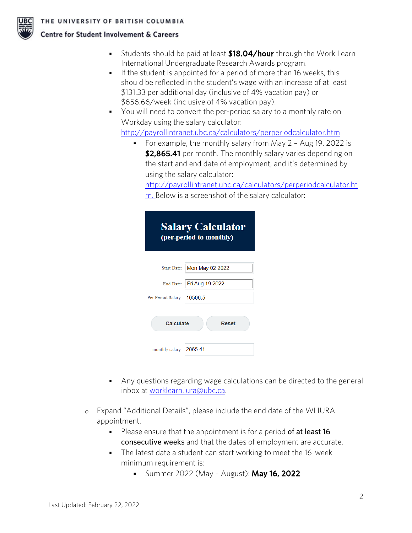



- Students should be paid at least **\$18.04/hour** through the Work Learn International Undergraduate Research Awards program.
- If the student is appointed for a period of more than  $16$  weeks, this should be reflected in the student's wage with an increase of at least \$131.33 per additional day (inclusive of 4% vacation pay) or \$656.66/week (inclusive of 4% vacation pay).
- You will need to convert the per-period salary to a monthly rate on Workday using the salary calculator:

<http://payrollintranet.ubc.ca/calculators/perperiodcalculator.htm>

• For example, the monthly salary from May 2 - Aug 19, 2022 is \$2,865.41 per month. The monthly salary varies depending on the start and end date of employment, and it's determined by using the salary calculator:

[http://payrollintranet.ubc.ca/calculators/perperiodcalculator.ht](http://payrollintranet.ubc.ca/calculators/perperiodcalculator.htm) [m.](http://payrollintranet.ubc.ca/calculators/perperiodcalculator.htm) Below is a screenshot of the salary calculator:

| <b>Salary Calculator</b><br>(per-period to monthly) |                           |  |  |  |
|-----------------------------------------------------|---------------------------|--|--|--|
| Start Date:                                         | Mon May 02 2022           |  |  |  |
|                                                     | End Date: Fri Aug 19 2022 |  |  |  |
| Per Period Salary:   10506.5                        |                           |  |  |  |
| Calculate<br>Reset                                  |                           |  |  |  |
| monthly salary: 2865.41                             |                           |  |  |  |

- Any questions regarding wage calculations can be directed to the general inbox at [worklearn.iura@ubc.ca.](mailto:worklearn.iura@ubc.ca)
- o Expand "Additional Details", please include the end date of the WLIURA appointment.
	- Please ensure that the appointment is for a period of at least 16 consecutive weeks and that the dates of employment are accurate.
	- The latest date a student can start working to meet the 16-week minimum requirement is:
		- **Summer 2022 (May August): May 16, 2022**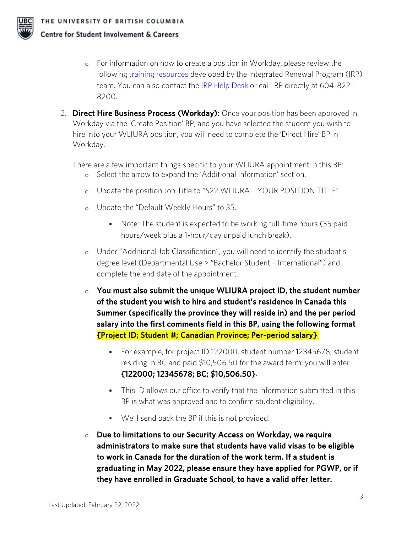

- o For information on how to create a position in Workday, please review the following [training resources](https://irp.ubc.ca/training) developed by the Integrated Renewal Program (IRP) team. You can also contact the [IRP Help Desk](https://irp.ubc.ca/contact) or call IRP directly at 604-822-8200.
- 2. Direct Hire Business Process (Workday): Once your position has been approved in Workday via the 'Create Position' BP, and you have selected the student you wish to hire into your WLIURA position, you will need to complete the 'Direct Hire' BP in Workday.

There are a few important things specific to your WLIURA appointment in this BP:

- o Select the arrow to expand the 'Additional Information' section.
- o Update the position Job Title to "S22 WLIURA YOUR POSITION TITLE"
- o Update the "Default Weekly Hours" to 35.
	- Note: The student is expected to be working full-time hours (35 paid hours/week plus a 1-hour/day unpaid lunch break).
- o Under "Additional Job Classification", you will need to identify the student's degree level (Departmental Use > "Bachelor Student – International") and complete the end date of the appointment.
- $\circ$  You must also submit the unique WLIURA project ID, the student number of the student you wish to hire and student's residence in Canada this Summer (specifically the province they will reside in) and the per period salary into the first comments field in this BP, using the following format {Project ID; Student #; Canadian Province; Per-period salary}.
	- For example, for project ID 122000, student number 12345678, student residing in BC and paid \$10,506.50 for the award term, you will enter {122000; 12345678; BC; \$10,506.50}.
	- This ID allows our office to verify that the information submitted in this BP is what was approved and to confirm student eligibility.
	- We'll send back the BP if this is not provided.
- $\circ$  Due to limitations to our Security Access on Workday, we require administrators to make sure that students have valid visas to be eligible to work in Canada for the duration of the work term. If a student is graduating in May 2022, please ensure they have applied for PGWP, or if they have enrolled in Graduate School, to have a valid offer letter.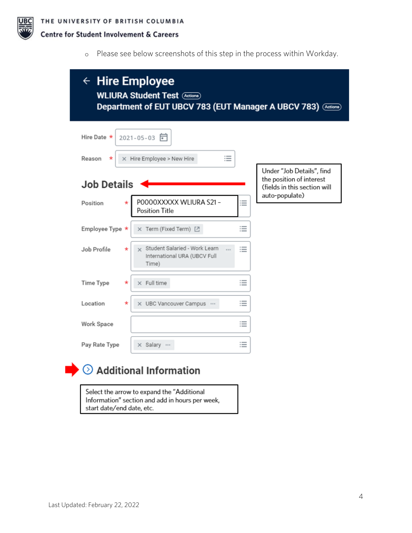

o Please see below screenshots of this step in the process within Workday.

| $\leftarrow$ Hire Employee<br><b>WLIURA Student Test (Actions)</b><br>Department of EUT UBCV 783 (EUT Manager A UBCV 783) (Actions) |                                                                        |   |                                                          |  |
|-------------------------------------------------------------------------------------------------------------------------------------|------------------------------------------------------------------------|---|----------------------------------------------------------|--|
| Hire Date *<br>Reason<br>*                                                                                                          | 2021-05-03 同<br>這<br>X Hire Employee > New Hire                        |   | Under "Job Details", find                                |  |
| <b>Job Details</b>                                                                                                                  |                                                                        |   | the position of interest<br>(fields in this section will |  |
| Position                                                                                                                            | POOOOXXXXX WLIURA S21-<br>Position Title                               | ≔ | auto-populate)                                           |  |
| Employee Type *                                                                                                                     | X Term (Fixed Term) [7]                                                | ≔ |                                                          |  |
| Job Profile<br>$^\star$                                                                                                             | Student Salaried - Work Learn<br>International URA (UBCV Full<br>Time) | ≔ |                                                          |  |
| <b>Time Type</b><br>*                                                                                                               | $\times$ Full time                                                     | ≔ |                                                          |  |
| Location<br>*                                                                                                                       | X UBC Vancouver Campus                                                 | ≔ |                                                          |  |
| Work Space                                                                                                                          |                                                                        | ≔ |                                                          |  |
| Pay Rate Type                                                                                                                       | x Salary                                                               | ≔ |                                                          |  |
|                                                                                                                                     | <b>Additional Information</b>                                          |   |                                                          |  |

Select the arrow to expand the "Additional Information" section and add in hours per week, start date/end date, etc.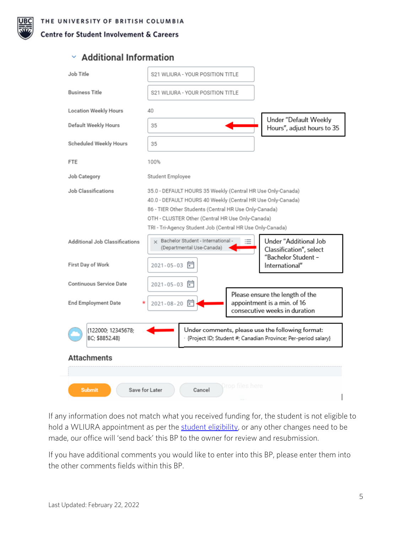# $\times$  Additional Information

| Job Title                                                                                                                                                   | S21 WLIURA - YOUR POSITION TITLE                                                                                                                                                                                                                                                                     |                                                                                                 |  |  |
|-------------------------------------------------------------------------------------------------------------------------------------------------------------|------------------------------------------------------------------------------------------------------------------------------------------------------------------------------------------------------------------------------------------------------------------------------------------------------|-------------------------------------------------------------------------------------------------|--|--|
| <b>Business Title</b>                                                                                                                                       | S21 WLIURA - YOUR POSITION TITLE                                                                                                                                                                                                                                                                     |                                                                                                 |  |  |
| <b>Location Weekly Hours</b>                                                                                                                                | 40                                                                                                                                                                                                                                                                                                   |                                                                                                 |  |  |
| Default Weekly Hours                                                                                                                                        | 35                                                                                                                                                                                                                                                                                                   | Under "Default Weekly<br>Hours", adjust hours to 35                                             |  |  |
| Scheduled Weekly Hours                                                                                                                                      | 35                                                                                                                                                                                                                                                                                                   |                                                                                                 |  |  |
| <b>FTE</b>                                                                                                                                                  | 100%                                                                                                                                                                                                                                                                                                 |                                                                                                 |  |  |
| Job Category                                                                                                                                                | Student Employee                                                                                                                                                                                                                                                                                     |                                                                                                 |  |  |
| Job Classifications                                                                                                                                         | 35.0 - DEFAULT HOURS 35 Weekly (Central HR Use Only-Canada)<br>40.0 - DEFAULT HOURS 40 Weekly (Central HR Use Only-Canada)<br>86 - TIER Other Students (Central HR Use Only-Canada)<br>OTH - CLUSTER Other (Central HR Use Only-Canada)<br>TRI - Tri-Agency Student Job (Central HR Use Only-Canada) |                                                                                                 |  |  |
| Additional Job Classifications<br>First Day of Work                                                                                                         | y Bachelor Student - International -<br>(Departmental Use-Canada)<br>2021-05-03 同                                                                                                                                                                                                                    | Under "Additional Job<br>Classification", select<br>"Bachelor Student -<br>International"       |  |  |
| Continuous Service Date                                                                                                                                     | $2021 - 05 - 03$<br>F                                                                                                                                                                                                                                                                                |                                                                                                 |  |  |
| <b>End Employment Date</b>                                                                                                                                  | 2021-08-20                                                                                                                                                                                                                                                                                           | Please ensure the length of the<br>appointment is a min. of 16<br>consecutive weeks in duration |  |  |
| Under comments, please use the following format:<br>{122000; 12345678;<br>BC: \$8852.48}<br>· {Project ID; Student #; Canadian Province; Per-period salary} |                                                                                                                                                                                                                                                                                                      |                                                                                                 |  |  |
| <b>Attachments</b>                                                                                                                                          |                                                                                                                                                                                                                                                                                                      |                                                                                                 |  |  |
|                                                                                                                                                             |                                                                                                                                                                                                                                                                                                      |                                                                                                 |  |  |
| rop files here<br>Save for Later<br>Cancel<br><b>Submit</b>                                                                                                 |                                                                                                                                                                                                                                                                                                      |                                                                                                 |  |  |

If any information does not match what you received funding for, the student is not eligible to hold a WLIURA appointment as per the [student eligibility,](https://students.ubc.ca/career/campus-experiences/undergraduate-research/work-learn-international-undergraduate-research-awards) or any other changes need to be made, our office will 'send back' this BP to the owner for review and resubmission.

If you have additional comments you would like to enter into this BP, please enter them into the other comments fields within this BP.